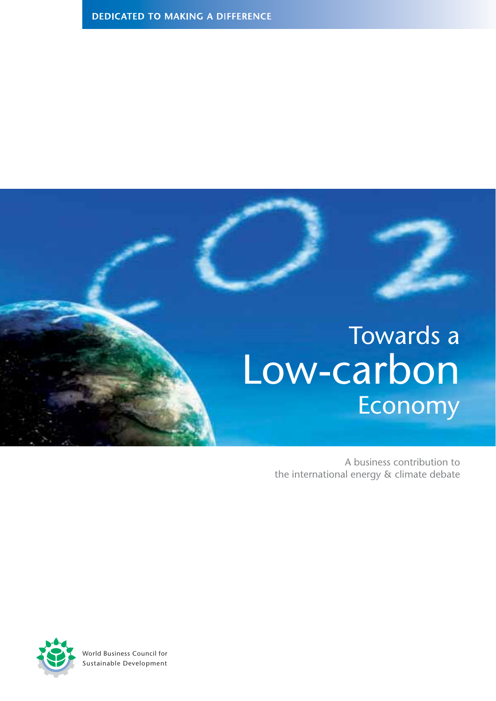

A business contribution to the international energy & climate debate



World Business Council for Sustainable Development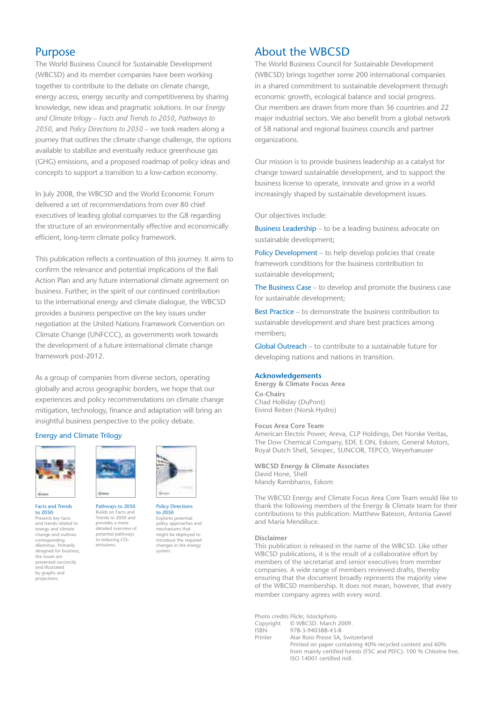#### **Purpose**

The World Business Council for Sustainable Development (WBCSD) and its member companies have been working together to contribute to the debate on climate change, energy access, energy security and competitiveness by sharing knowledge, new ideas and pragmatic solutions. In our *Energy and Climate trilogy* – *Facts and Trends to 2050*, *Pathways to 2050*, and *Policy Directions to 2050* – we took readers along a journey that outlines the climate change challenge, the options available to stabilize and eventually reduce greenhouse gas (GHG) emissions, and a proposed roadmap of policy ideas and concepts to support a transition to a low-carbon economy.

In July 2008, the WBCSD and the World Economic Forum delivered a set of recommendations from over 80 chief executives of leading global companies to the G8 regarding the structure of an environmentally effective and economically efficient, long-term climate policy framework.

This publication reflects a continuation of this journey. It aims to confirm the relevance and potential implications of the Bali Action Plan and any future international climate agreement on business. Further, in the spirit of our continued contribution to the international energy and climate dialogue, the WBCSD provides a business perspective on the key issues under negotiation at the United Nations Framework Convention on Climate Change (UNFCCC), as governments work towards the development of a future international climate change framework post-2012.

As a group of companies from diverse sectors, operating globally and across geographic borders, we hope that our experiences and policy recommendations on climate change mitigation, technology, finance and adaptation will bring an insightful business perspective to the policy debate.

#### Energy and Climate Trilogy



Facts and Trends to 2050: Presents key facts and trends related to

energy and climate change and outlines corresponding dilemmas. Primarily<br>designed for business, the issues are presented succinctly and illustrated by graphs and projections.



Pathways to 2050 Builds on Facts and Trends to 2050 and provides a more detailed overview of potential pathways to reducing CO<sub>2</sub> emissions.



Policy Directions to 2050 Explores potential policy approaches and mechanisms that might be deployed to introduce the required changes in the energy ر<br>system

#### About the WBCSD

The World Business Council for Sustainable Development (WBCSD) brings together some 200 international companies in a shared commitment to sustainable development through economic growth, ecological balance and social progress. Our members are drawn from more than 36 countries and 22 major industrial sectors. We also benefit from a global network of 58 national and regional business councils and partner organizations.

Our mission is to provide business leadership as a catalyst for change toward sustainable development, and to support the business license to operate, innovate and grow in a world increasingly shaped by sustainable development issues.

#### Our objectives include:

Business Leadership – to be a leading business advocate on sustainable development;

Policy Development – to help develop policies that create framework conditions for the business contribution to sustainable development;

The Business Case – to develop and promote the business case for sustainable development;

Best Practice – to demonstrate the business contribution to sustainable development and share best practices among members;

Global Outreach – to contribute to a sustainable future for developing nations and nations in transition.

#### **Acknowledgements**

**Energy & Climate Focus Area Co-Chairs** Chad Holliday (DuPont) Eivind Reiten (Norsk Hydro)

#### **Focus Area Core Team**

American Electric Power, Areva, CLP Holdings, Det Norske Veritas, The Dow Chemical Company, EDF, E.ON, Eskom, General Motors, Royal Dutch Shell, Sinopec, SUNCOR, TEPCO, Weyerhaeuser

**WBCSD Energy & Climate Associates** David Hone, Shell Mandy Rambharos, Eskom

The WBCSD Energy and Climate Focus Area Core Team would like to thank the following members of the Energy & Climate team for their contributions to this publication: Matthew Bateson, Antonia Gawel and María Mendiluce.

#### **Disclaimer**

This publication is released in the name of the WBCSD. Like other WBCSD publications, it is the result of a collaborative effort by members of the secretariat and senior executives from member companies. A wide range of members reviewed drafts, thereby ensuring that the document broadly represents the majority view of the WBCSD membership. It does not mean, however, that every member company agrees with every word.

|             | Photo credits Flickr, Istockphoto                                  |  |
|-------------|--------------------------------------------------------------------|--|
|             | Copyright © WBCSD. March 2009.                                     |  |
| <b>ISBN</b> | 978-3-940388-43-8                                                  |  |
| Printer     | Atar Roto Presse SA, Switzerland                                   |  |
|             | Printed on paper containing 40% recycled content and 60%           |  |
|             | from mainly certified forests (FSC and PEFC). 100 % Chlorine free. |  |
|             | ISO 14001 certified mill.                                          |  |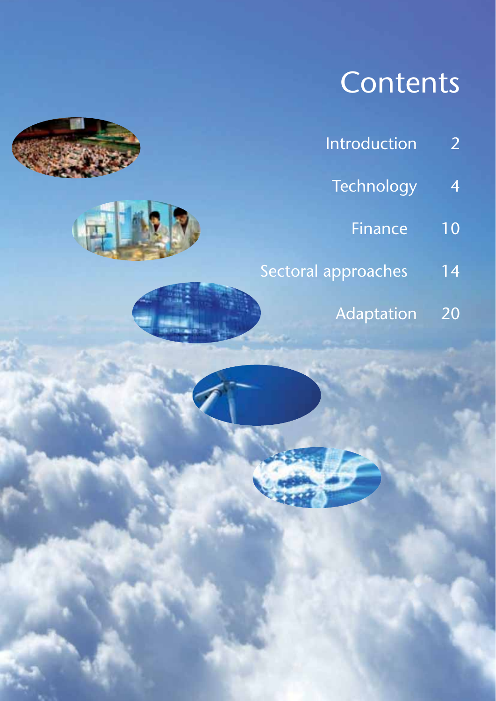## **Contents**

- Introduction 2
	- Technology 4
		- Finance 10
- Sectoral approaches 14
	- Adaptation 20



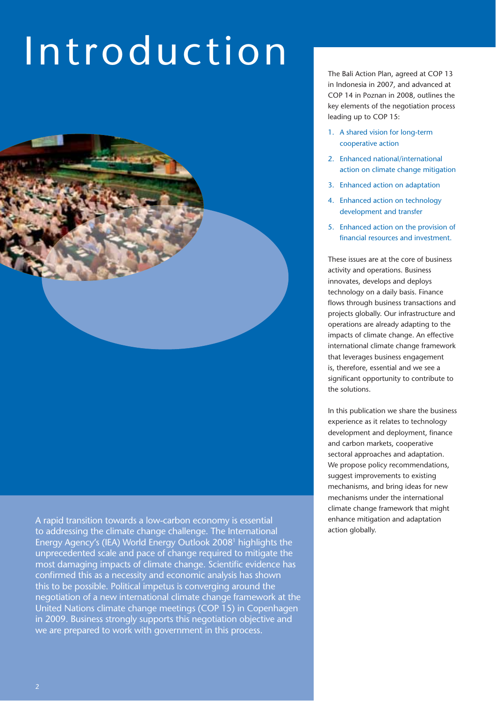## Introduction



A rapid transition towards a low-carbon economy is essential to addressing the climate change challenge. The International Energy Agency's (IEA) World Energy Outlook 20081 highlights the unprecedented scale and pace of change required to mitigate the most damaging impacts of climate change. Scientific evidence has confirmed this as a necessity and economic analysis has shown this to be possible. Political impetus is converging around the negotiation of a new international climate change framework at the United Nations climate change meetings (COP 15) in Copenhagen in 2009. Business strongly supports this negotiation objective and we are prepared to work with government in this process.

The Bali Action Plan, agreed at COP 13 in Indonesia in 2007, and advanced at COP 14 in Poznan in 2008, outlines the key elements of the negotiation process leading up to COP 15:

- 1. A shared vision for long-term cooperative action
- 2. Enhanced national/international action on climate change mitigation
- 3. Enhanced action on adaptation
- 4. Enhanced action on technology development and transfer
- 5. Enhanced action on the provision of financial resources and investment.

These issues are at the core of business activity and operations. Business innovates, develops and deploys technology on a daily basis. Finance flows through business transactions and projects globally. Our infrastructure and operations are already adapting to the impacts of climate change. An effective international climate change framework that leverages business engagement is, therefore, essential and we see a significant opportunity to contribute to the solutions.

In this publication we share the business experience as it relates to technology development and deployment, finance and carbon markets, cooperative sectoral approaches and adaptation. We propose policy recommendations, suggest improvements to existing mechanisms, and bring ideas for new mechanisms under the international climate change framework that might enhance mitigation and adaptation action globally.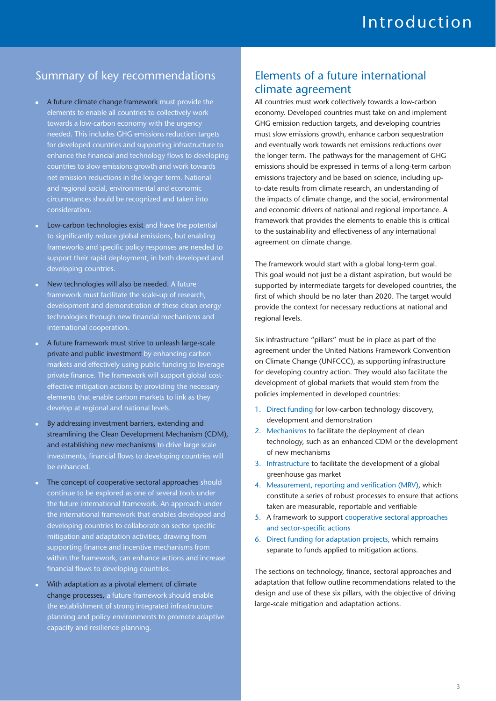## Summary of key recommendations

- A future climate change framework must provide the elements to enable all countries to collectively work towards a low-carbon economy with the urgency needed. This includes GHG emissions reduction targets for developed countries and supporting infrastructure to enhance the financial and technology flows to developing countries to slow emissions growth and work towards net emission reductions in the longer term. National and regional social, environmental and economic circumstances should be recognized and taken into consideration.
- - Low-carbon technologies exist and have the potential to significantly reduce global emissions, but enabling frameworks and specific policy responses are needed to support their rapid deployment, in both developed and developing countries.
- New technologies will also be needed. A future framework must facilitate the scale-up of research, development and demonstration of these clean energy technologies through new financial mechanisms and international cooperation.
- - A future framework must strive to unleash large-scale private and public investment by enhancing carbon markets and effectively using public funding to leverage private finance. The framework will support global costeffective mitigation actions by providing the necessary elements that enable carbon markets to link as they develop at regional and national levels.
- - By addressing investment barriers, extending and streamlining the Clean Development Mechanism (CDM), and establishing new mechanisms to drive large scale investments, financial flows to developing countries will be enhanced.
- **The concept of cooperative sectoral approaches should** continue to be explored as one of several tools under the future international framework. An approach under the international framework that enables developed and developing countries to collaborate on sector specific mitigation and adaptation activities, drawing from supporting finance and incentive mechanisms from within the framework, can enhance actions and increase financial flows to developing countries.
- With adaptation as a pivotal element of climate change processes, a future framework should enable the establishment of strong integrated infrastructure planning and policy environments to promote adaptive capacity and resilience planning.

### Elements of a future international climate agreement

All countries must work collectively towards a low-carbon economy. Developed countries must take on and implement GHG emission reduction targets, and developing countries must slow emissions growth, enhance carbon sequestration and eventually work towards net emissions reductions over the longer term. The pathways for the management of GHG emissions should be expressed in terms of a long-term carbon emissions trajectory and be based on science, including upto-date results from climate research, an understanding of the impacts of climate change, and the social, environmental and economic drivers of national and regional importance. A framework that provides the elements to enable this is critical to the sustainability and effectiveness of any international agreement on climate change.

The framework would start with a global long-term goal. This goal would not just be a distant aspiration, but would be supported by intermediate targets for developed countries, the first of which should be no later than 2020. The target would provide the context for necessary reductions at national and regional levels.

Six infrastructure "pillars" must be in place as part of the agreement under the United Nations Framework Convention on Climate Change (UNFCCC), as supporting infrastructure for developing country action. They would also facilitate the development of global markets that would stem from the policies implemented in developed countries:

- 1. Direct funding for low-carbon technology discovery, development and demonstration
- 2. Mechanisms to facilitate the deployment of clean technology, such as an enhanced CDM or the development of new mechanisms
- 3. Infrastructure to facilitate the development of a global greenhouse gas market
- 4. Measurement, reporting and verification (MRV), which constitute a series of robust processes to ensure that actions taken are measurable, reportable and verifiable
- 5. A framework to support cooperative sectoral approaches and sector-specific actions
- 6. Direct funding for adaptation projects, which remains separate to funds applied to mitigation actions.

The sections on technology, finance, sectoral approaches and adaptation that follow outline recommendations related to the design and use of these six pillars, with the objective of driving large-scale mitigation and adaptation actions.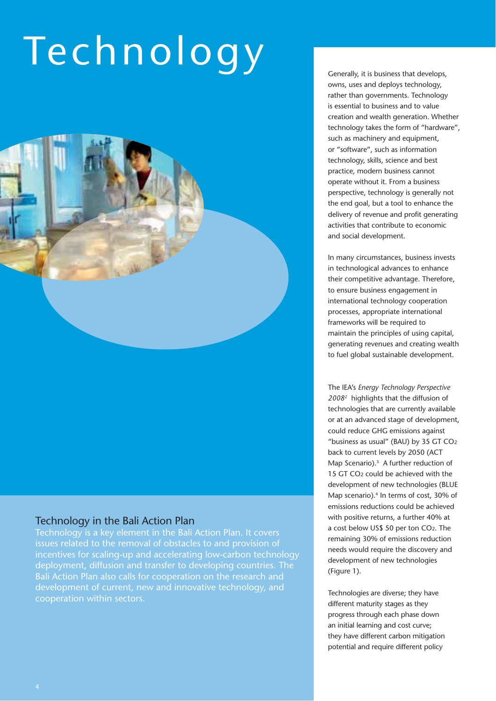# Technology Generally, it is business that develops,



#### Technology in the Bali Action Plan

Technology is a key element in the Bali Action Plan. It covers issues related to the removal of obstacles to and provision of incentives for scaling-up and accelerating low-carbon technology deployment, diffusion and transfer to developing countries. The Bali Action Plan also calls for cooperation on the research and development of current, new and innovative technology, and cooperation within sectors.

owns, uses and deploys technology, rather than governments. Technology is essential to business and to value creation and wealth generation. Whether technology takes the form of "hardware", such as machinery and equipment, or "software", such as information technology, skills, science and best practice, modern business cannot operate without it. From a business perspective, technology is generally not the end goal, but a tool to enhance the delivery of revenue and profit generating activities that contribute to economic and social development.

In many circumstances, business invests in technological advances to enhance their competitive advantage. Therefore, to ensure business engagement in international technology cooperation processes, appropriate international frameworks will be required to maintain the principles of using capital, generating revenues and creating wealth to fuel global sustainable development.

The IEA's *Energy Technology Perspective 20082* highlights that the diffusion of technologies that are currently available or at an advanced stage of development, could reduce GHG emissions against "business as usual" (BAU) by 35 GT CO2 back to current levels by 2050 (ACT Map Scenario).<sup>3</sup> A further reduction of 15 GT CO2 could be achieved with the development of new technologies (BLUE Map scenario).<sup>4</sup> In terms of cost, 30% of emissions reductions could be achieved with positive returns, a further 40% at a cost below US\$ 50 per ton CO2. The remaining 30% of emissions reduction needs would require the discovery and development of new technologies (Figure 1).

Technologies are diverse; they have different maturity stages as they progress through each phase down an initial learning and cost curve; they have different carbon mitigation potential and require different policy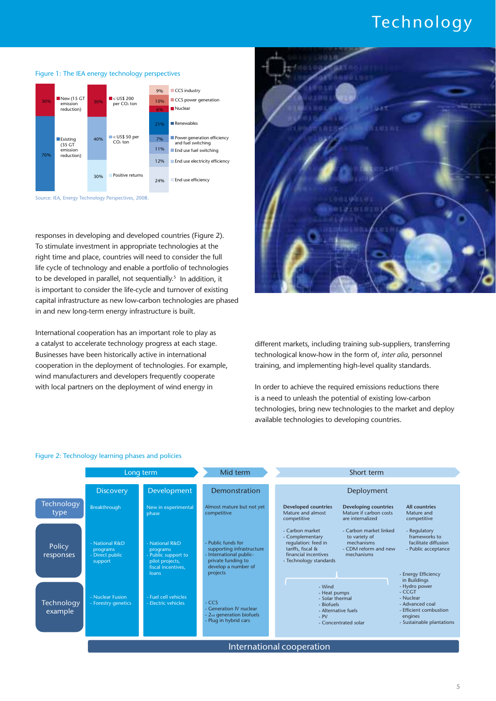## Technology



#### Figure 1: The IEA energy technology perspectives

Source: IEA, Energy Technology Perspectives, 2008.

responses in developing and developed countries (Figure 2). To stimulate investment in appropriate technologies at the right time and place, countries will need to consider the full life cycle of technology and enable a portfolio of technologies to be developed in parallel, not sequentially.<sup>5</sup> In addition, it is important to consider the life-cycle and turnover of existing capital infrastructure as new low-carbon technologies are phased in and new long-term energy infrastructure is built.

International cooperation has an important role to play as a catalyst to accelerate technology progress at each stage. Businesses have been historically active in international cooperation in the deployment of technologies. For example, wind manufacturers and developers frequently cooperate with local partners on the deployment of wind energy in



different markets, including training sub-suppliers, transferring technological know-how in the form of, *inter alia*, personnel training, and implementing high-level quality standards.

In order to achieve the required emissions reductions there is a need to unleash the potential of existing low-carbon technologies, bring new technologies to the market and deploy available technologies to developing countries.



#### Figure 2: Technology learning phases and policies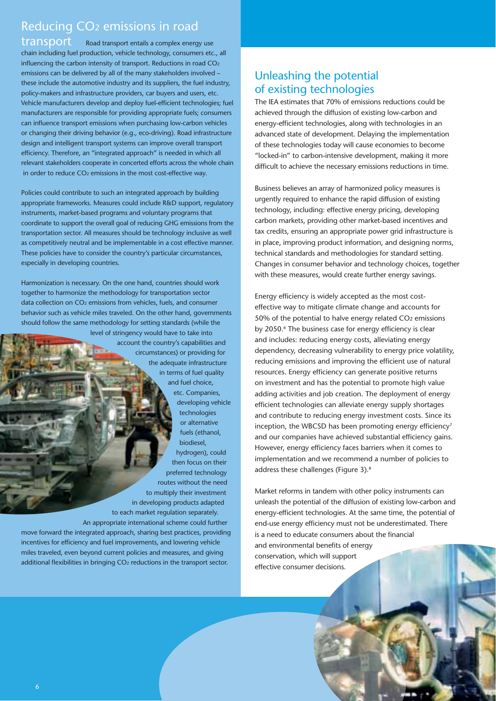## Reducing CO2 emissions in road

transport Road transport entails a complex energy use chain including fuel production, vehicle technology, consumers etc., all influencing the carbon intensity of transport. Reductions in road CO2 emissions can be delivered by all of the many stakeholders involved – these include the automotive industry and its suppliers, the fuel industry, policy-makers and infrastructure providers, car buyers and users, etc. Vehicle manufacturers develop and deploy fuel-efficient technologies; fuel manufacturers are responsible for providing appropriate fuels; consumers can influence transport emissions when purchasing low-carbon vehicles or changing their driving behavior (e.g., eco-driving). Road infrastructure design and intelligent transport systems can improve overall transport efficiency. Therefore, an "integrated approach" is needed in which all relevant stakeholders cooperate in concerted efforts across the whole chain in order to reduce CO2 emissions in the most cost-effective way.

Policies could contribute to such an integrated approach by building appropriate frameworks. Measures could include R&D support, regulatory instruments, market-based programs and voluntary programs that coordinate to support the overall goal of reducing GHG emissions from the transportation sector. All measures should be technology inclusive as well as competitively neutral and be implementable in a cost effective manner. These policies have to consider the country's particular circumstances, especially in developing countries.

Harmonization is necessary. On the one hand, countries should work together to harmonize the methodology for transportation sector data collection on CO<sub>2</sub> emissions from vehicles, fuels, and consumer behavior such as vehicle miles traveled. On the other hand, governments should follow the same methodology for setting standards (while the

level of stringency would have to take into account the country's capabilities and circumstances) or providing for the adequate infrastructure in terms of fuel quality and fuel choice, etc. Companies, developing vehicle technologies or alternative fuels (ethanol, biodiesel, hydrogen), could then focus on their preferred technology routes without the need to multiply their investment in developing products adapted to each market regulation separately. An appropriate international scheme could further move forward the integrated approach, sharing best practices, providing

incentives for efficiency and fuel improvements, and lowering vehicle miles traveled, even beyond current policies and measures, and giving additional flexibilities in bringing CO<sub>2</sub> reductions in the transport sector.

## Unleashing the potential of existing technologies

The IEA estimates that 70% of emissions reductions could be achieved through the diffusion of existing low-carbon and energy-efficient technologies, along with technologies in an advanced state of development. Delaying the implementation of these technologies today will cause economies to become "locked-in" to carbon-intensive development, making it more difficult to achieve the necessary emissions reductions in time.

Business believes an array of harmonized policy measures is urgently required to enhance the rapid diffusion of existing technology, including: effective energy pricing, developing carbon markets, providing other market-based incentives and tax credits, ensuring an appropriate power grid infrastructure is in place, improving product information, and designing norms, technical standards and methodologies for standard setting. Changes in consumer behavior and technology choices, together with these measures, would create further energy savings.

Energy efficiency is widely accepted as the most costeffective way to mitigate climate change and accounts for 50% of the potential to halve energy related CO2 emissions by 2050.<sup>6</sup> The business case for energy efficiency is clear and includes: reducing energy costs, alleviating energy dependency, decreasing vulnerability to energy price volatility, reducing emissions and improving the efficient use of natural resources. Energy efficiency can generate positive returns on investment and has the potential to promote high value adding activities and job creation. The deployment of energy efficient technologies can alleviate energy supply shortages and contribute to reducing energy investment costs. Since its inception, the WBCSD has been promoting energy efficiency<sup>7</sup> and our companies have achieved substantial efficiency gains. However, energy efficiency faces barriers when it comes to implementation and we recommend a number of policies to address these challenges (Figure 3).8

Market reforms in tandem with other policy instruments can unleash the potential of the diffusion of existing low-carbon and energy-efficient technologies. At the same time, the potential of end-use energy efficiency must not be underestimated. There is a need to educate consumers about the financial and environmental benefits of energy conservation, which will support effective consumer decisions.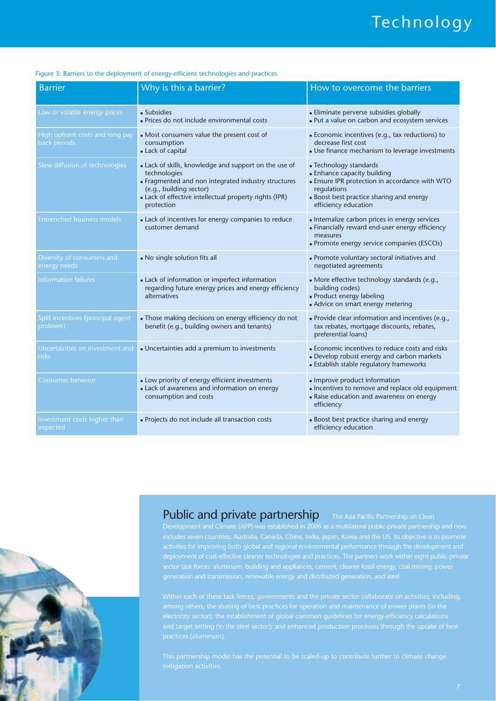## Technology

| <b>Barrier</b>                                  | Why is this a barrier?                                                                                                                                                                                                    | How to overcome the barriers                                                                                                                                                                              |
|-------------------------------------------------|---------------------------------------------------------------------------------------------------------------------------------------------------------------------------------------------------------------------------|-----------------------------------------------------------------------------------------------------------------------------------------------------------------------------------------------------------|
| Low or volatile energy prices                   | • Subsidies<br>Prices do not include environmental costs                                                                                                                                                                  | • Eliminate perverse subsidies globally<br>- Put a value on carbon and ecosystem services                                                                                                                 |
| High upfront costs and long pay<br>back periods | • Most consumers value the present cost of<br>consumption<br>Lack of capital                                                                                                                                              | • Economic incentives (e.g., tax reductions) to<br>decrease first cost<br>• Use finance mechanism to leverage investments                                                                                 |
| Slow diffusion of technologies                  | Lack of skills, knowledge and support on the use of<br>technologies<br>Fragmented and non integrated industry structures<br>(e.g., building sector)<br>Lack of effective intellectual property rights (IPR)<br>protection | - Technology standards<br><b>Enhance capacity building</b><br><b>Ensure IPR protection in accordance with WTO</b><br>regulations<br><b>Boost best practice sharing and energy</b><br>efficiency education |
| <b>Entrenched business models</b>               | Lack of incentives for energy companies to reduce<br>customer demand                                                                                                                                                      | Internalize carbon prices in energy services<br>Financially reward end-user energy efficiency<br>measures<br>- Promote energy service companies (ESCOs)                                                   |
| Diversity of consumers and<br>energy needs      | No single solution fits all                                                                                                                                                                                               | - Promote voluntary sectoral initiatives and<br>negotiated agreements                                                                                                                                     |
| <b>Information failures</b>                     | Lack of information or imperfect information<br>regarding future energy prices and energy efficiency<br>alternatives                                                                                                      | . More effective technology standards (e.g.,<br>building codes)<br>- Product energy labeling<br>Advice on smart energy metering                                                                           |
| Split incentives (principal agent<br>problem)   | . Those making decisions on energy efficiency do not<br>benefit (e.g., building owners and tenants)                                                                                                                       | . Provide clear information and incentives (e.g.,<br>tax rebates, mortgage discounts, rebates,<br>preferential loans)                                                                                     |
| Uncertainties on investment and<br>risks        | Uncertainties add a premium to investments                                                                                                                                                                                | <b>Economic incentives to reduce costs and risks</b><br>- Develop robust energy and carbon markets<br><b>Establish stable regulatory frameworks</b>                                                       |
| Consumer behavior                               | Low priority of energy efficient investments<br>Lack of awareness and information on energy<br>consumption and costs                                                                                                      | Improve product information<br>Incentives to remove and replace old equipment<br>- Raise education and awareness on energy<br>efficiency                                                                  |
| Investment costs higher than<br>expected        | - Projects do not include all transaction costs                                                                                                                                                                           | <b>Boost best practice sharing and energy</b><br>efficiency education                                                                                                                                     |

#### Figure 3: Barriers to the deployment of energy-efficient technologies and practices

### Public and private partnership The Asia Pacific Partnership on Clean

Development and Climate (APP) was established in 2006 as a multilateral public-private partnership and now deployment of cost-effective cleaner technologies and practices. The partners work within eight public-private

itorig <del>others, the sharing or sect phacetor rand pullinum</del><br>ectricity sector); the establishment of global common guidelines for energy-efficiency calculations

mitigation activities.

![](_page_8_Picture_8.jpeg)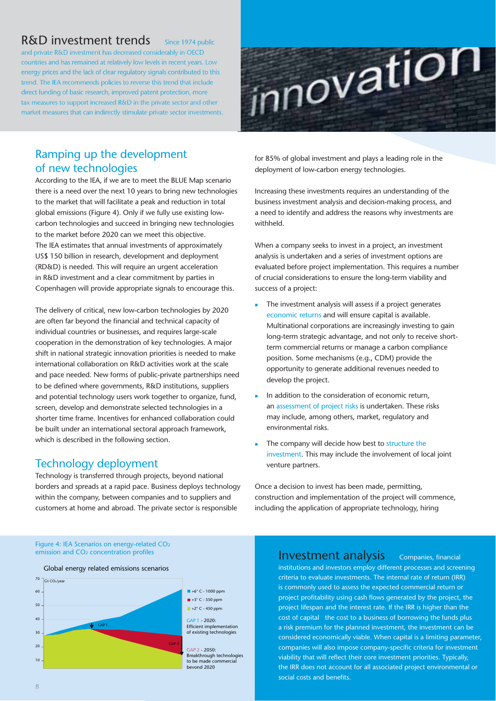## $R&D$  investment trends  $S$  Since 1974 public

and private R&D investment has decreased considerably in OECD countries and has remained at relatively low levels in recent years. Low energy prices and the lack of clear regulatory signals contributed to this trend. The IEA recommends policies to reverse this trend that include direct funding of basic research, improved patent protection, more tax measures to support increased R&D in the private sector and other market measures that can indirectly stimulate private sector investments.

![](_page_9_Picture_2.jpeg)

## Ramping up the development of new technologies

According to the IEA, if we are to meet the BLUE Map scenario there is a need over the next 10 years to bring new technologies to the market that will facilitate a peak and reduction in total global emissions (Figure 4). Only if we fully use existing lowcarbon technologies and succeed in bringing new technologies to the market before 2020 can we meet this objective. The IEA estimates that annual investments of approximately US\$ 150 billion in research, development and deployment (RD&D) is needed. This will require an urgent acceleration in R&D investment and a clear commitment by parties in Copenhagen will provide appropriate signals to encourage this.

The delivery of critical, new low-carbon technologies by 2020 are often far beyond the financial and technical capacity of individual countries or businesses, and requires large-scale cooperation in the demonstration of key technologies. A major shift in national strategic innovation priorities is needed to make international collaboration on R&D activities work at the scale and pace needed. New forms of public-private partnerships need to be defined where governments, R&D institutions, suppliers and potential technology users work together to organize, fund, screen, develop and demonstrate selected technologies in a shorter time frame. Incentives for enhanced collaboration could be built under an international sectoral approach framework, which is described in the following section.

### Technology deployment

Technology is transferred through projects, beyond national borders and spreads at a rapid pace. Business deploys technology within the company, between companies and to suppliers and customers at home and abroad. The private sector is responsible

for 85% of global investment and plays a leading role in the deployment of low-carbon energy technologies.

Increasing these investments requires an understanding of the business investment analysis and decision-making process, and a need to identify and address the reasons why investments are withheld.

When a company seeks to invest in a project, an investment analysis is undertaken and a series of investment options are evaluated before project implementation. This requires a number of crucial considerations to ensure the long-term viability and success of a project:

- - The investment analysis will assess if a project generates economic returns and will ensure capital is available. Multinational corporations are increasingly investing to gain long-term strategic advantage, and not only to receive shortterm commercial returns or manage a carbon compliance position. Some mechanisms (e.g., CDM) provide the opportunity to generate additional revenues needed to develop the project.
- - In addition to the consideration of economic return, an assessment of project risks is undertaken. These risks may include, among others, market, regulatory and environmental risks.
- - The company will decide how best to structure the investment. This may include the involvement of local joint venture partners.

Once a decision to invest has been made, permitting, construction and implementation of the project will commence, including the application of appropriate technology, hiring

Figure 4: IEA Scenarios on energy-related CO<sub>2</sub><br>emission and CO<sub>2</sub> concentration profiles

![](_page_9_Figure_16.jpeg)

Investment analysis Companies, financial

institutions and investors employ different processes and screening criteria to evaluate investments. The internal rate of return (IRR) is commonly used to assess the expected commercial return or project profitability using cash flows generated by the project, the project lifespan and the interest rate. If the IRR is higher than the cost of capital the cost to a business of borrowing the funds plus a risk premium for the planned investment, the investment can be considered economically viable. When capital is a limiting parameter, companies will also impose company-specific criteria for investment viability that will reflect their core investment priorities. Typically, the IRR does not account for all associated project environmental or social costs and benefits.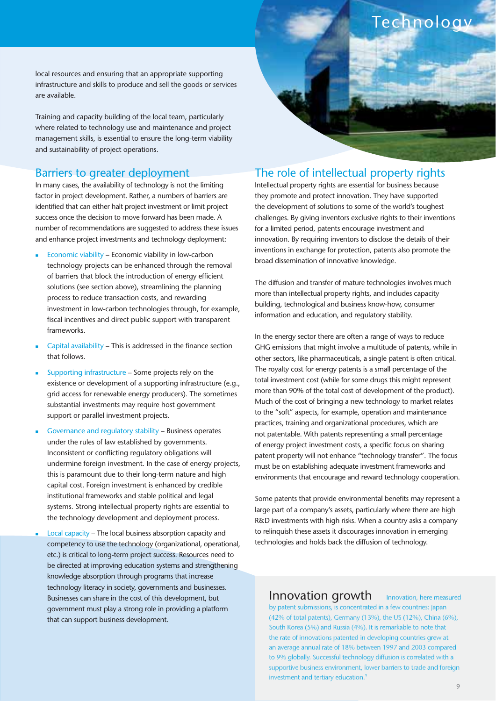local resources and ensuring that an appropriate supporting infrastructure and skills to produce and sell the goods or services are available.

Training and capacity building of the local team, particularly where related to technology use and maintenance and project management skills, is essential to ensure the long-term viability and sustainability of project operations.

#### Barriers to greater deployment

In many cases, the availability of technology is not the limiting factor in project development. Rather, a numbers of barriers are identified that can either halt project investment or limit project success once the decision to move forward has been made. A number of recommendations are suggested to address these issues and enhance project investments and technology deployment:

- - Economic viability – Economic viability in low-carbon technology projects can be enhanced through the removal of barriers that block the introduction of energy efficient solutions (see section above), streamlining the planning process to reduce transaction costs, and rewarding investment in low-carbon technologies through, for example, fiscal incentives and direct public support with transparent frameworks.
- - Capital availability – This is addressed in the finance section that follows.
- - Supporting infrastructure – Some projects rely on the existence or development of a supporting infrastructure (e.g., grid access for renewable energy producers). The sometimes substantial investments may require host government support or parallel investment projects.
- - Governance and regulatory stability – Business operates under the rules of law established by governments. Inconsistent or conflicting regulatory obligations will undermine foreign investment. In the case of energy projects, this is paramount due to their long-term nature and high capital cost. Foreign investment is enhanced by credible institutional frameworks and stable political and legal systems. Strong intellectual property rights are essential to the technology development and deployment process.
- - Local capacity – The local business absorption capacity and competency to use the technology (organizational, operational, etc.) is critical to long-term project success. Resources need to be directed at improving education systems and strengthening knowledge absorption through programs that increase technology literacy in society, governments and businesses. Businesses can share in the cost of this development, but government must play a strong role in providing a platform that can support business development.

### The role of intellectual property rights

**Technology** 

Intellectual property rights are essential for business because they promote and protect innovation. They have supported the development of solutions to some of the world's toughest challenges. By giving inventors exclusive rights to their inventions for a limited period, patents encourage investment and innovation. By requiring inventors to disclose the details of their inventions in exchange for protection, patents also promote the broad dissemination of innovative knowledge.

The diffusion and transfer of mature technologies involves much more than intellectual property rights, and includes capacity building, technological and business know-how, consumer information and education, and regulatory stability.

In the energy sector there are often a range of ways to reduce GHG emissions that might involve a multitude of patents, while in other sectors, like pharmaceuticals, a single patent is often critical. The royalty cost for energy patents is a small percentage of the total investment cost (while for some drugs this might represent more than 90% of the total cost of development of the product). Much of the cost of bringing a new technology to market relates to the "soft" aspects, for example, operation and maintenance practices, training and organizational procedures, which are not patentable. With patents representing a small percentage of energy project investment costs, a specific focus on sharing patent property will not enhance "technology transfer". The focus must be on establishing adequate investment frameworks and environments that encourage and reward technology cooperation.

Some patents that provide environmental benefits may represent a large part of a company's assets, particularly where there are high R&D investments with high risks. When a country asks a company to relinquish these assets it discourages innovation in emerging technologies and holds back the diffusion of technology.

Innovation growth Innovation, here measured by patent submissions, is concentrated in a few countries: Japan (42% of total patents), Germany (13%), the US (12%), China (6%), South Korea (5%) and Russia (4%). It is remarkable to note that the rate of innovations patented in developing countries grew at an average annual rate of 18% between 1997 and 2003 compared to 9% globally. Successful technology diffusion is correlated with a supportive business environment, lower barriers to trade and foreign investment and tertiary education.<sup>9</sup>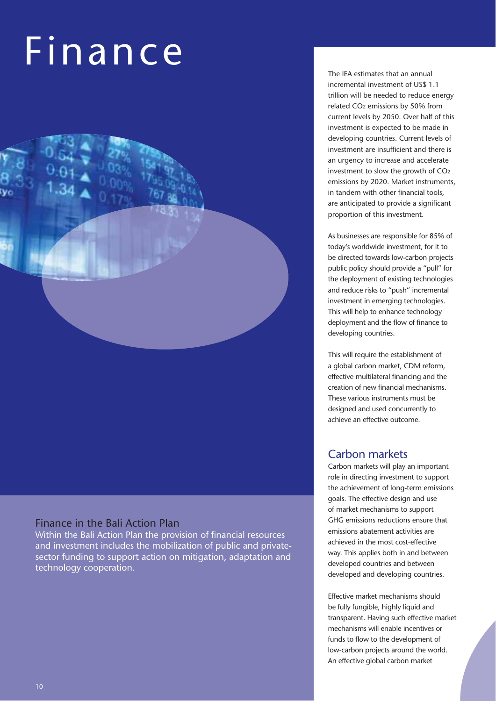## Finance

## Finance in the Bali Action Plan

Within the Bali Action Plan the provision of financial resources and investment includes the mobilization of public and privatesector funding to support action on mitigation, adaptation and technology cooperation.

The IEA estimates that an annual incremental investment of US\$ 1.1 trillion will be needed to reduce energy related CO2 emissions by 50% from current levels by 2050. Over half of this investment is expected to be made in developing countries. Current levels of investment are insufficient and there is an urgency to increase and accelerate investment to slow the growth of CO2 emissions by 2020. Market instruments, in tandem with other financial tools, are anticipated to provide a significant proportion of this investment.

As businesses are responsible for 85% of today's worldwide investment, for it to be directed towards low-carbon projects public policy should provide a "pull" for the deployment of existing technologies and reduce risks to "push" incremental investment in emerging technologies. This will help to enhance technology deployment and the flow of finance to developing countries.

This will require the establishment of a global carbon market, CDM reform, effective multilateral financing and the creation of new financial mechanisms. These various instruments must be designed and used concurrently to achieve an effective outcome.

#### Carbon markets

Carbon markets will play an important role in directing investment to support the achievement of long-term emissions goals. The effective design and use of market mechanisms to support GHG emissions reductions ensure that emissions abatement activities are achieved in the most cost-effective way. This applies both in and between developed countries and between developed and developing countries.

Effective market mechanisms should be fully fungible, highly liquid and transparent. Having such effective market mechanisms will enable incentives or funds to flow to the development of low-carbon projects around the world. An effective global carbon market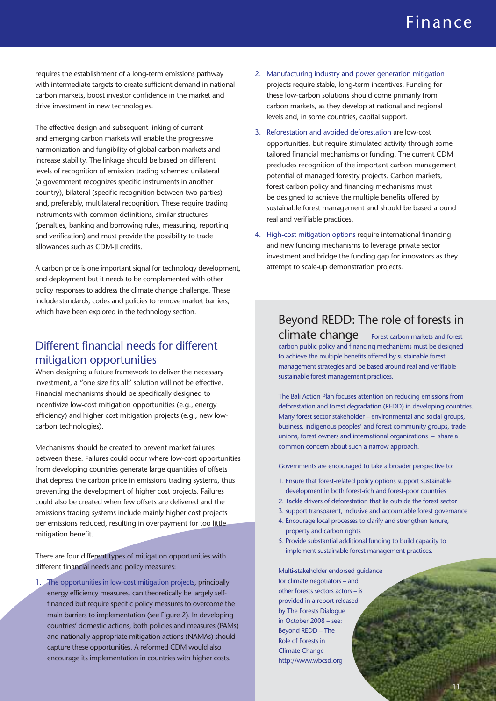## Finance

requires the establishment of a long-term emissions pathway with intermediate targets to create sufficient demand in national carbon markets, boost investor confidence in the market and drive investment in new technologies.

The effective design and subsequent linking of current and emerging carbon markets will enable the progressive harmonization and fungibility of global carbon markets and increase stability. The linkage should be based on different levels of recognition of emission trading schemes: unilateral (a government recognizes specific instruments in another country), bilateral (specific recognition between two parties) and, preferably, multilateral recognition. These require trading instruments with common definitions, similar structures (penalties, banking and borrowing rules, measuring, reporting and verification) and must provide the possibility to trade allowances such as CDM-II credits.

A carbon price is one important signal for technology development, and deployment but it needs to be complemented with other policy responses to address the climate change challenge. These include standards, codes and policies to remove market barriers, which have been explored in the technology section.

## Different financial needs for different mitigation opportunities

When designing a future framework to deliver the necessary investment, a "one size fits all" solution will not be effective. Financial mechanisms should be specifically designed to incentivize low-cost mitigation opportunities (e.g., energy efficiency) and higher cost mitigation projects (e.g., new lowcarbon technologies).

Mechanisms should be created to prevent market failures between these. Failures could occur where low-cost opportunities from developing countries generate large quantities of offsets that depress the carbon price in emissions trading systems, thus preventing the development of higher cost projects. Failures could also be created when few offsets are delivered and the emissions trading systems include mainly higher cost projects per emissions reduced, resulting in overpayment for too little mitigation benefit.

There are four different types of mitigation opportunities with different financial needs and policy measures:

1. The opportunities in low-cost mitigation projects, principally energy efficiency measures, can theoretically be largely selffinanced but require specific policy measures to overcome the main barriers to implementation (see Figure 2). In developing countries' domestic actions, both policies and measures (PAMs) and nationally appropriate mitigation actions (NAMAs) should capture these opportunities. A reformed CDM would also encourage its implementation in countries with higher costs.

- 2. Manufacturing industry and power generation mitigation projects require stable, long-term incentives. Funding for these low-carbon solutions should come primarily from carbon markets, as they develop at national and regional levels and, in some countries, capital support.
- 3. Reforestation and avoided deforestation are low-cost opportunities, but require stimulated activity through some tailored financial mechanisms or funding. The current CDM precludes recognition of the important carbon management potential of managed forestry projects. Carbon markets, forest carbon policy and financing mechanisms must be designed to achieve the multiple benefits offered by sustainable forest management and should be based around real and verifiable practices.
- 4. High-cost mitigation options require international financing and new funding mechanisms to leverage private sector investment and bridge the funding gap for innovators as they attempt to scale-up demonstration projects.

## Beyond REDD: The role of forests in

climate change Forest carbon markets and forest carbon public policy and financing mechanisms must be designed to achieve the multiple benefits offered by sustainable forest management strategies and be based around real and verifiable sustainable forest management practices.

The Bali Action Plan focuses attention on reducing emissions from deforestation and forest degradation (REDD) in developing countries. Many forest sector stakeholder – environmental and social groups, business, indigenous peoples' and forest community groups, trade unions, forest owners and international organizations – share a common concern about such a narrow approach.

Governments are encouraged to take a broader perspective to:

- 1. Ensure that forest-related policy options support sustainable development in both forest-rich and forest-poor countries
- 2. Tackle drivers of deforestation that lie outside the forest sector
- 3. support transparent, inclusive and accountable forest governance
- 4. Encourage local processes to clarify and strengthen tenure, property and carbon rights
- 5. Provide substantial additional funding to build capacity to implement sustainable forest management practices.

Multi-stakeholder endorsed guidance for climate negotiators – and other forests sectors actors – is provided in a report released by The Forests Dialogue in October 2008 – see: Beyond REDD – The Role of Forests in Climate Change http://www.wbcsd.org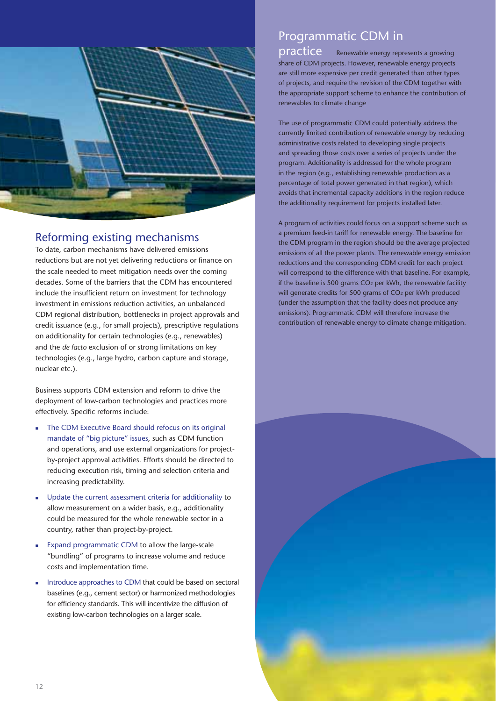![](_page_13_Picture_0.jpeg)

## Reforming existing mechanisms

To date, carbon mechanisms have delivered emissions reductions but are not yet delivering reductions or finance on the scale needed to meet mitigation needs over the coming decades. Some of the barriers that the CDM has encountered include the insufficient return on investment for technology investment in emissions reduction activities, an unbalanced CDM regional distribution, bottlenecks in project approvals and credit issuance (e.g., for small projects), prescriptive regulations on additionality for certain technologies (e.g., renewables) and the *de facto* exclusion of or strong limitations on key technologies (e.g., large hydro, carbon capture and storage, nuclear etc.).

Business supports CDM extension and reform to drive the deployment of low-carbon technologies and practices more effectively. Specific reforms include:

- - The CDM Executive Board should refocus on its original mandate of "big picture" issues, such as CDM function and operations, and use external organizations for projectby-project approval activities. Efforts should be directed to reducing execution risk, timing and selection criteria and increasing predictability.
- - Update the current assessment criteria for additionality to allow measurement on a wider basis, e.g., additionality could be measured for the whole renewable sector in a country, rather than project-by-project.
- - Expand programmatic CDM to allow the large-scale "bundling" of programs to increase volume and reduce costs and implementation time.
- - Introduce approaches to CDM that could be based on sectoral baselines (e.g., cement sector) or harmonized methodologies for efficiency standards. This will incentivize the diffusion of existing low-carbon technologies on a larger scale.

## Programmatic CDM in

practice Renewable energy represents a growing share of CDM projects. However, renewable energy projects are still more expensive per credit generated than other types of projects, and require the revision of the CDM together with the appropriate support scheme to enhance the contribution of renewables to climate change

The use of programmatic CDM could potentially address the currently limited contribution of renewable energy by reducing administrative costs related to developing single projects and spreading those costs over a series of projects under the program. Additionality is addressed for the whole program in the region (e.g., establishing renewable production as a percentage of total power generated in that region), which avoids that incremental capacity additions in the region reduce the additionality requirement for projects installed later.

A program of activities could focus on a support scheme such as a premium feed-in tariff for renewable energy. The baseline for the CDM program in the region should be the average projected emissions of all the power plants. The renewable energy emission reductions and the corresponding CDM credit for each project will correspond to the difference with that baseline. For example, if the baseline is 500 grams  $CO<sub>2</sub>$  per kWh, the renewable facility will generate credits for 500 grams of CO<sub>2</sub> per kWh produced (under the assumption that the facility does not produce any emissions). Programmatic CDM will therefore increase the contribution of renewable energy to climate change mitigation.

![](_page_13_Picture_12.jpeg)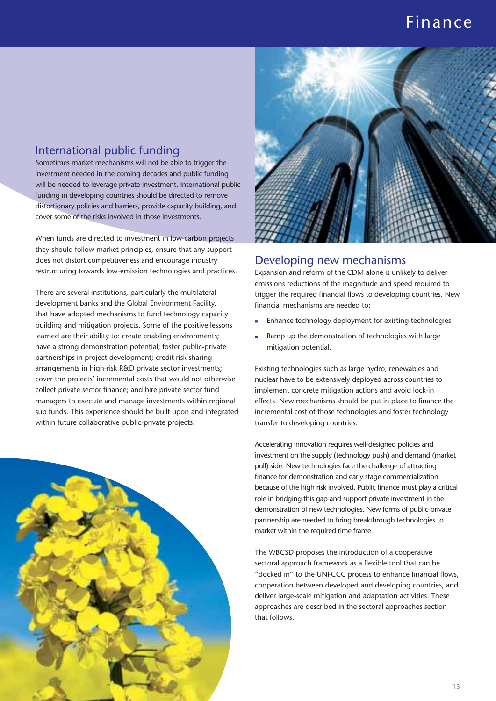## Finance

#### International public funding

Sometimes market mechanisms will not be able to trigger the investment needed in the coming decades and public funding will be needed to leverage private investment. International public funding in developing countries should be directed to remove distortionary policies and barriers, provide capacity building, and cover some of the risks involved in those investments.

When funds are directed to investment in low-carbon projects they should follow market principles, ensure that any support does not distort competitiveness and encourage industry restructuring towards low-emission technologies and practices.

There are several institutions, particularly the multilateral development banks and the Global Environment Facility, that have adopted mechanisms to fund technology capacity building and mitigation projects. Some of the positive lessons learned are their ability to: create enabling environments; have a strong demonstration potential; foster public-private partnerships in project development; credit risk sharing arrangements in high-risk R&D private sector investments; cover the projects' incremental costs that would not otherwise collect private sector finance; and hire private sector fund managers to execute and manage investments within regional sub funds. This experience should be built upon and integrated within future collaborative public-private projects.

![](_page_14_Picture_5.jpeg)

![](_page_14_Picture_6.jpeg)

#### Developing new mechanisms

Expansion and reform of the CDM alone is unlikely to deliver emissions reductions of the magnitude and speed required to trigger the required financial flows to developing countries. New financial mechanisms are needed to:

- -Enhance technology deployment for existing technologies
- - Ramp up the demonstration of technologies with large mitigation potential.

Existing technologies such as large hydro, renewables and nuclear have to be extensively deployed across countries to implement concrete mitigation actions and avoid lock-in effects. New mechanisms should be put in place to finance the incremental cost of those technologies and foster technology transfer to developing countries.

Accelerating innovation requires well-designed policies and investment on the supply (technology push) and demand (market pull) side. New technologies face the challenge of attracting finance for demonstration and early stage commercialization because of the high risk involved. Public finance must play a critical role in bridging this gap and support private investment in the demonstration of new technologies. New forms of public-private partnership are needed to bring breakthrough technologies to market within the required time frame.

The WBCSD proposes the introduction of a cooperative sectoral approach framework as a flexible tool that can be "docked in" to the UNFCCC process to enhance financial flows, cooperation between developed and developing countries, and deliver large-scale mitigation and adaptation activities. These approaches are described in the sectoral approaches section that follows.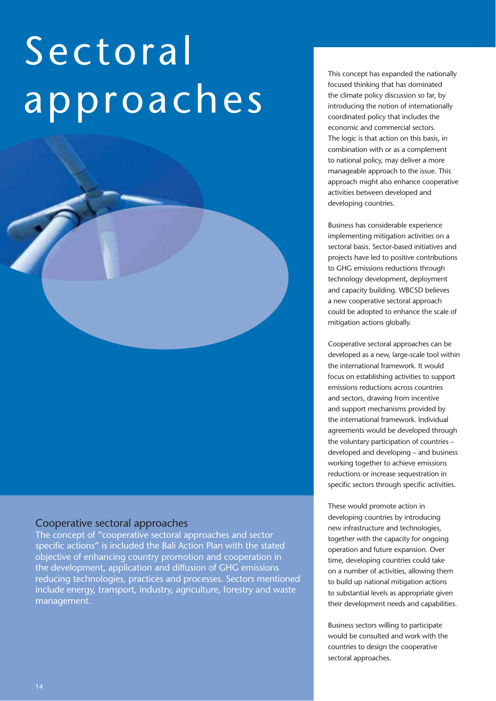# Sectoral approaches

#### Cooperative sectoral approaches

The concept of "cooperative sectoral approaches and sector specific actions" is included the Bali Action Plan with the stated objective of enhancing country promotion and cooperation in the development, application and diffusion of GHG emissions reducing technologies, practices and processes. Sectors mentioned include energy, transport, industry, agriculture, forestry and waste management.

This concept has expanded the nationally focused thinking that has dominated the climate policy discussion so far, by introducing the notion of internationally coordinated policy that includes the economic and commercial sectors. The logic is that action on this basis, in combination with or as a complement to national policy, may deliver a more manageable approach to the issue. This approach might also enhance cooperative activities between developed and developing countries.

Business has considerable experience implementing mitigation activities on a sectoral basis. Sector-based initiatives and projects have led to positive contributions to GHG emissions reductions through technology development, deployment and capacity building. WBCSD believes a new cooperative sectoral approach could be adopted to enhance the scale of mitigation actions globally.

Cooperative sectoral approaches can be developed as a new, large-scale tool within the international framework. It would focus on establishing activities to support emissions reductions across countries and sectors, drawing from incentive and support mechanisms provided by the international framework. Individual agreements would be developed through the voluntary participation of countries – developed and developing – and business working together to achieve emissions reductions or increase sequestration in specific sectors through specific activities.

These would promote action in developing countries by introducing new infrastructure and technologies, together with the capacity for ongoing operation and future expansion. Over time, developing countries could take on a number of activities, allowing them to build up national mitigation actions to substantial levels as appropriate given their development needs and capabilities.

Business sectors willing to participate would be consulted and work with the countries to design the cooperative sectoral approaches.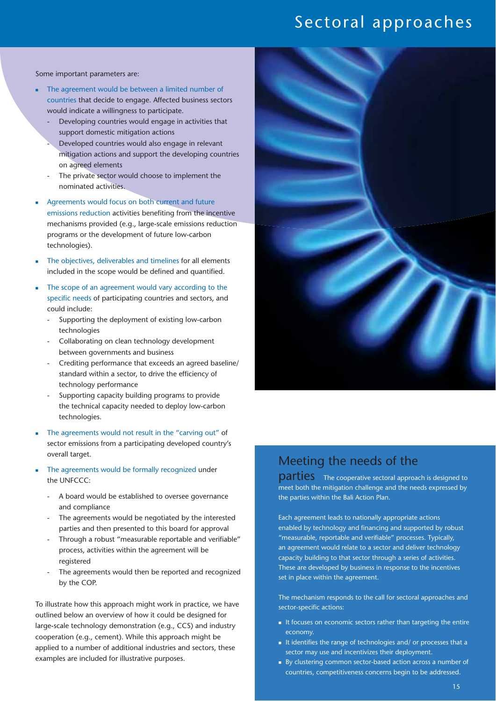## Sectoral approaches

Some important parameters are:

- - The agreement would be between a limited number of countries that decide to engage. Affected business sectors would indicate a willingness to participate.
	- Developing countries would engage in activities that support domestic mitigation actions
	- Developed countries would also engage in relevant mitigation actions and support the developing countries on agreed elements
	- The private sector would choose to implement the nominated activities.
- - Agreements would focus on both current and future emissions reduction activities benefiting from the incentive mechanisms provided (e.g., large-scale emissions reduction programs or the development of future low-carbon technologies).
- - The objectives, deliverables and timelines for all elements included in the scope would be defined and quantified.
- - The scope of an agreement would vary according to the specific needs of participating countries and sectors, and could include:
	- Supporting the deployment of existing low-carbon technologies
	- Collaborating on clean technology development between governments and business
	- Crediting performance that exceeds an agreed baseline/ standard within a sector, to drive the efficiency of technology performance
	- Supporting capacity building programs to provide the technical capacity needed to deploy low-carbon technologies.
- - The agreements would not result in the "carving out" of sector emissions from a participating developed country's overall target.
- - The agreements would be formally recognized under the UNFCCC:
	- A board would be established to oversee governance and compliance
	- The agreements would be negotiated by the interested parties and then presented to this board for approval
	- Through a robust "measurable reportable and verifiable" process, activities within the agreement will be registered
	- The agreements would then be reported and recognized by the COP.

To illustrate how this approach might work in practice, we have outlined below an overview of how it could be designed for large-scale technology demonstration (e.g., CCS) and industry cooperation (e.g., cement). While this approach might be applied to a number of additional industries and sectors, these examples are included for illustrative purposes.

![](_page_16_Picture_20.jpeg)

## Meeting the needs of the

**parties** The cooperative sectoral approach is designed to meet both the mitigation challenge and the needs expressed by the parties within the Bali Action Plan.

Each agreement leads to nationally appropriate actions enabled by technology and financing and supported by robust "measurable, reportable and verifiable" processes. Typically, an agreement would relate to a sector and deliver technology capacity building to that sector through a series of activities. These are developed by business in response to the incentives set in place within the agreement.

The mechanism responds to the call for sectoral approaches and sector-specific actions:

- It focuses on economic sectors rather than targeting the entire economy.
- It identifies the range of technologies and/ or processes that a sector may use and incentivizes their deployment.
- By clustering common sector-based action across a number of countries, competitiveness concerns begin to be addressed.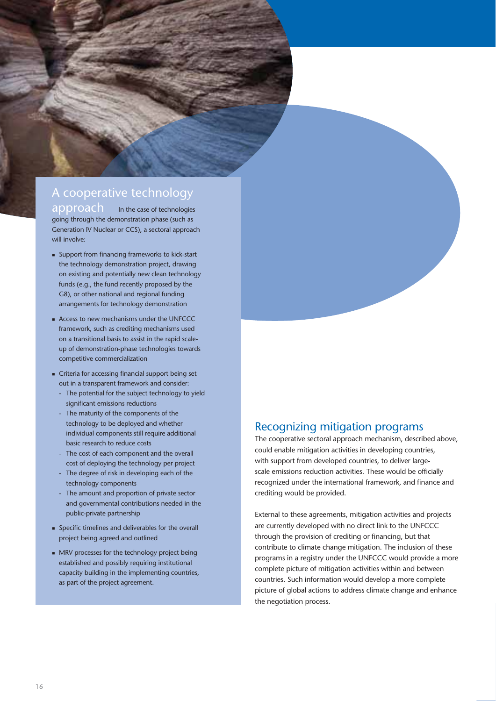## A cooperative technology

approach In the case of technologies going through the demonstration phase (such as Generation IV Nuclear or CCS), a sectoral approach will involve:

- **Support from financing frameworks to kick-start** the technology demonstration project, drawing on existing and potentially new clean technology funds (e.g., the fund recently proposed by the G8), or other national and regional funding arrangements for technology demonstration
- Access to new mechanisms under the UNFCCC framework, such as crediting mechanisms used on a transitional basis to assist in the rapid scaleup of demonstration-phase technologies towards competitive commercialization
- Criteria for accessing financial support being set out in a transparent framework and consider:
	- The potential for the subject technology to yield significant emissions reductions
	- The maturity of the components of the technology to be deployed and whether individual components still require additional basic research to reduce costs
	- The cost of each component and the overall cost of deploying the technology per project
	- The degree of risk in developing each of the technology components
	- The amount and proportion of private sector and governmental contributions needed in the public-private partnership
- Specific timelines and deliverables for the overall project being agreed and outlined
- MRV processes for the technology project being established and possibly requiring institutional capacity building in the implementing countries, as part of the project agreement.

### Recognizing mitigation programs

The cooperative sectoral approach mechanism, described above, could enable mitigation activities in developing countries, with support from developed countries, to deliver largescale emissions reduction activities. These would be officially recognized under the international framework, and finance and crediting would be provided.

External to these agreements, mitigation activities and projects are currently developed with no direct link to the UNFCCC through the provision of crediting or financing, but that contribute to climate change mitigation. The inclusion of these programs in a registry under the UNFCCC would provide a more complete picture of mitigation activities within and between countries. Such information would develop a more complete picture of global actions to address climate change and enhance the negotiation process.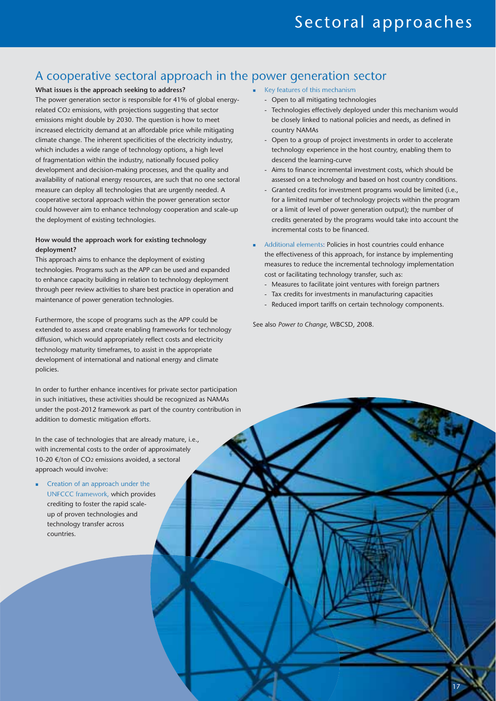## A cooperative sectoral approach in the power generation sector

#### **What issues is the approach seeking to address?**

The power generation sector is responsible for 41% of global energyrelated CO2 emissions, with projections suggesting that sector emissions might double by 2030. The question is how to meet increased electricity demand at an affordable price while mitigating climate change. The inherent specificities of the electricity industry, which includes a wide range of technology options, a high level of fragmentation within the industry, nationally focused policy development and decision-making processes, and the quality and availability of national energy resources, are such that no one sectoral measure can deploy all technologies that are urgently needed. A cooperative sectoral approach within the power generation sector could however aim to enhance technology cooperation and scale-up the deployment of existing technologies.

#### **How would the approach work for existing technology deployment?**

This approach aims to enhance the deployment of existing technologies. Programs such as the APP can be used and expanded to enhance capacity building in relation to technology deployment through peer review activities to share best practice in operation and maintenance of power generation technologies.

Furthermore, the scope of programs such as the APP could be extended to assess and create enabling frameworks for technology diffusion, which would appropriately reflect costs and electricity technology maturity timeframes, to assist in the appropriate development of international and national energy and climate policies.

In order to further enhance incentives for private sector participation in such initiatives, these activities should be recognized as NAMAs under the post-2012 framework as part of the country contribution in addition to domestic mitigation efforts.

In the case of technologies that are already mature, i.e., with incremental costs to the order of approximately 10-20 €/ton of CO2 emissions avoided, a sectoral approach would involve:

- Creation of an approach under the UNFCCC framework, which provides crediting to foster the rapid scaleup of proven technologies and technology transfer across countries.

- **EXECUTE:** Key features of this mechanism
	- Open to all mitigating technologies
	- Technologies effectively deployed under this mechanism would be closely linked to national policies and needs, as defined in country NAMAs
	- Open to a group of project investments in order to accelerate technology experience in the host country, enabling them to descend the learning-curve
	- Aims to finance incremental investment costs, which should be assessed on a technology and based on host country conditions.
	- Granted credits for investment programs would be limited (i.e., for a limited number of technology projects within the program or a limit of level of power generation output); the number of credits generated by the programs would take into account the incremental costs to be financed.
- - Additional elements: Policies in host countries could enhance the effectiveness of this approach, for instance by implementing measures to reduce the incremental technology implementation cost or facilitating technology transfer, such as:
	- Measures to facilitate joint ventures with foreign partners
	- Tax credits for investments in manufacturing capacities
	- Reduced import tariffs on certain technology components.

17

See also *Power to Change*, WBCSD, 2008.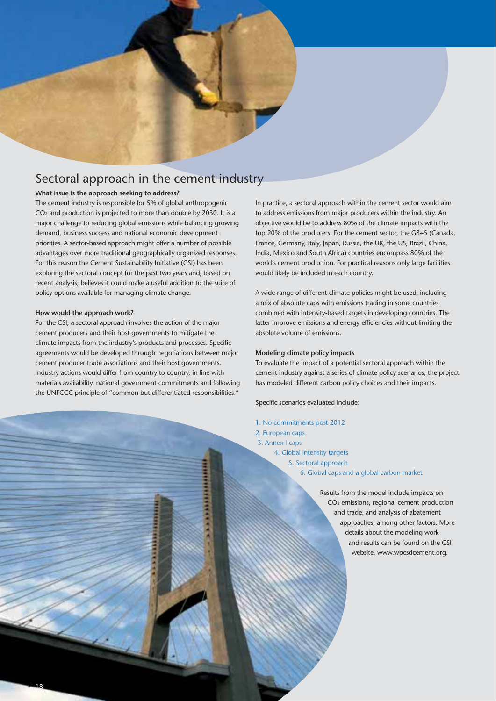![](_page_19_Picture_0.jpeg)

#### **What issue is the approach seeking to address?**

The cement industry is responsible for 5% of global anthropogenic CO2 and production is projected to more than double by 2030. It is a major challenge to reducing global emissions while balancing growing demand, business success and national economic development priorities. A sector-based approach might offer a number of possible advantages over more traditional geographically organized responses. For this reason the Cement Sustainability Initiative (CSI) has been exploring the sectoral concept for the past two years and, based on recent analysis, believes it could make a useful addition to the suite of policy options available for managing climate change.

#### **How would the approach work?**

For the CSI, a sectoral approach involves the action of the major cement producers and their host governments to mitigate the climate impacts from the industry's products and processes. Specific agreements would be developed through negotiations between major cement producer trade associations and their host governments. Industry actions would differ from country to country, in line with materials availability, national government commitments and following the UNFCCC principle of "common but differentiated responsibilities."

In practice, a sectoral approach within the cement sector would aim to address emissions from major producers within the industry. An objective would be to address 80% of the climate impacts with the top 20% of the producers. For the cement sector, the G8+5 (Canada, France, Germany, Italy, Japan, Russia, the UK, the US, Brazil, China, India, Mexico and South Africa) countries encompass 80% of the world's cement production. For practical reasons only large facilities would likely be included in each country.

A wide range of different climate policies might be used, including a mix of absolute caps with emissions trading in some countries combined with intensity-based targets in developing countries. The latter improve emissions and energy efficiencies without limiting the absolute volume of emissions.

#### **Modeling climate policy impacts**

To evaluate the impact of a potential sectoral approach within the cement industry against a series of climate policy scenarios, the project has modeled different carbon policy choices and their impacts.

Specific scenarios evaluated include:

- 1. No commitments post 2012
- 2. European caps
- 3. Annex I caps
	- 4. Global intensity targets
		- 5. Sectoral approach
			- 6. Global caps and a global carbon market

Results from the model include impacts on CO2 emissions, regional cement production and trade, and analysis of abatement approaches, among other factors. More details about the modeling work and results can be found on the CSI website, www.wbcsdcement.org.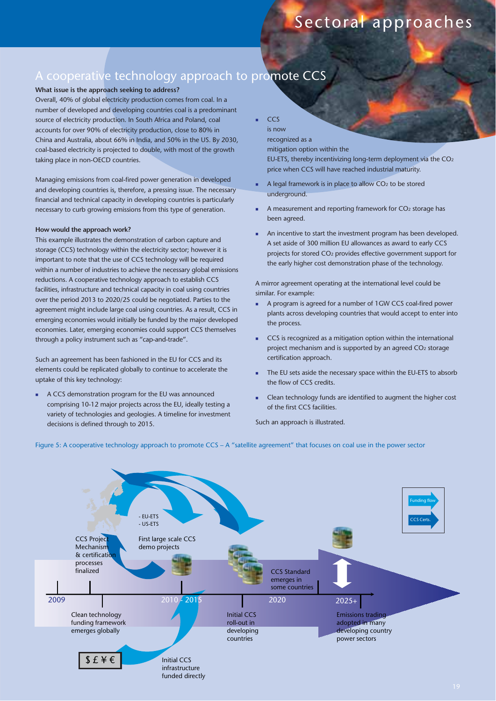## A cooperative technology approach to promote CCS

#### **What issue is the approach seeking to address?**

Overall, 40% of global electricity production comes from coal. In a number of developed and developing countries coal is a predominant source of electricity production. In South Africa and Poland, coal accounts for over 90% of electricity production, close to 80% in China and Australia, about 66% in India, and 50% in the US. By 2030, coal-based electricity is projected to double, with most of the growth taking place in non-OECD countries.

Managing emissions from coal-fired power generation in developed and developing countries is, therefore, a pressing issue. The necessary financial and technical capacity in developing countries is particularly necessary to curb growing emissions from this type of generation.

#### **How would the approach work?**

This example illustrates the demonstration of carbon capture and storage (CCS) technology within the electricity sector; however it is important to note that the use of CCS technology will be required within a number of industries to achieve the necessary global emissions reductions. A cooperative technology approach to establish CCS facilities, infrastructure and technical capacity in coal using countries over the period 2013 to 2020/25 could be negotiated. Parties to the agreement might include large coal using countries. As a result, CCS in emerging economies would initially be funded by the major developed economies. Later, emerging economies could support CCS themselves through a policy instrument such as "cap-and-trade".

Such an agreement has been fashioned in the EU for CCS and its elements could be replicated globally to continue to accelerate the uptake of this key technology:

- A CCS demonstration program for the EU was announced comprising 10-12 major projects across the EU, ideally testing a variety of technologies and geologies. A timeline for investment decisions is defined through to 2015.

**CCS** is now

-

recognized as a mitigation option within the

EU-ETS, thereby incentivizing long-term deployment via the CO2 price when CCS will have reached industrial maturity.

- - A legal framework is in place to allow CO2 to be stored underground.
- - A measurement and reporting framework for CO2 storage has been agreed.
- - An incentive to start the investment program has been developed. A set aside of 300 million EU allowances as award to early CCS projects for stored CO2 provides effective government support for the early higher cost demonstration phase of the technology.

A mirror agreement operating at the international level could be similar. For example:

- - A program is agreed for a number of 1GW CCS coal-fired power plants across developing countries that would accept to enter into the process.
- - CCS is recognized as a mitigation option within the international project mechanism and is supported by an agreed CO2 storage certification approach.
- - The EU sets aside the necessary space within the EU-ETS to absorb the flow of CCS credits.
- - Clean technology funds are identified to augment the higher cost of the first CCS facilities.

Such an approach is illustrated.

![](_page_20_Figure_21.jpeg)

![](_page_20_Figure_22.jpeg)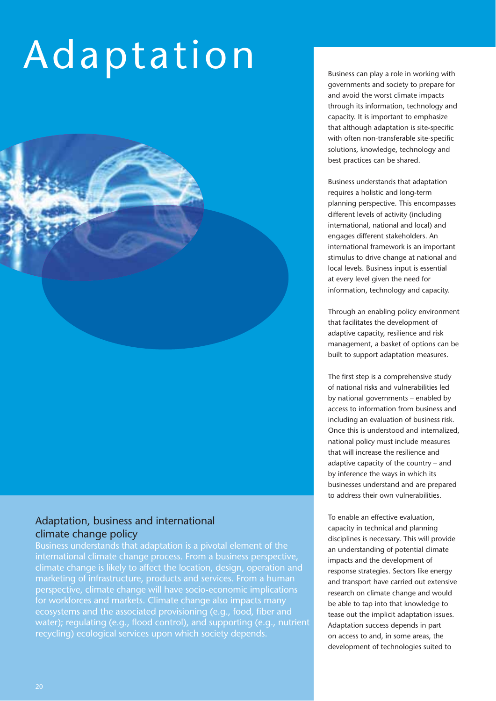# Adaptation

#### Adaptation, business and international climate change policy

Business understands that adaptation is a pivotal element of the international climate change process. From a business perspective, climate change is likely to affect the location, design, operation and marketing of infrastructure, products and services. From a human perspective, climate change will have socio-economic implications for workforces and markets. Climate change also impacts many ecosystems and the associated provisioning (e.g., food, fiber and water); regulating (e.g., flood control), and supporting (e.g., nutrient recycling) ecological services upon which society depends.

Business can play a role in working with governments and society to prepare for and avoid the worst climate impacts through its information, technology and capacity. It is important to emphasize that although adaptation is site-specific with often non-transferable site-specific solutions, knowledge, technology and best practices can be shared.

Business understands that adaptation requires a holistic and long-term planning perspective. This encompasses different levels of activity (including international, national and local) and engages different stakeholders. An international framework is an important stimulus to drive change at national and local levels. Business input is essential at every level given the need for information, technology and capacity.

Through an enabling policy environment that facilitates the development of adaptive capacity, resilience and risk management, a basket of options can be built to support adaptation measures.

The first step is a comprehensive study of national risks and vulnerabilities led by national governments – enabled by access to information from business and including an evaluation of business risk. Once this is understood and internalized, national policy must include measures that will increase the resilience and adaptive capacity of the country – and by inference the ways in which its businesses understand and are prepared to address their own vulnerabilities.

To enable an effective evaluation, capacity in technical and planning disciplines is necessary. This will provide an understanding of potential climate impacts and the development of response strategies. Sectors like energy and transport have carried out extensive research on climate change and would be able to tap into that knowledge to tease out the implicit adaptation issues. Adaptation success depends in part on access to and, in some areas, the development of technologies suited to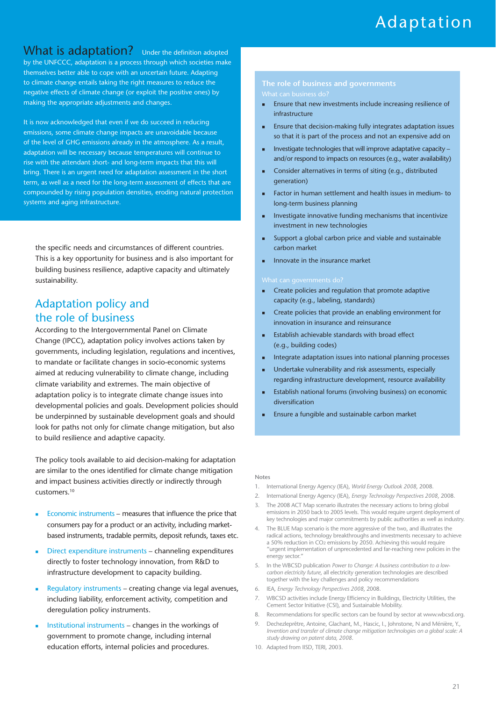#### What is adaptation? Under the definition adopted by the UNFCCC, adaptation is a process through which societies make themselves better able to cope with an uncertain future. Adapting to climate change entails taking the right measures to reduce the negative effects of climate change (or exploit the positive ones) by making the appropriate adjustments and changes.

It is now acknowledged that even if we do succeed in reducing emissions, some climate change impacts are unavoidable because of the level of GHG emissions already in the atmosphere. As a result, adaptation will be necessary because temperatures will continue to rise with the attendant short- and long-term impacts that this will bring. There is an urgent need for adaptation assessment in the short term, as well as a need for the long-term assessment of effects that are compounded by rising population densities, eroding natural protection systems and aging infrastructure.

the specific needs and circumstances of different countries. This is a key opportunity for business and is also important for building business resilience, adaptive capacity and ultimately sustainability.

### Adaptation policy and the role of business

According to the Intergovernmental Panel on Climate Change (IPCC), adaptation policy involves actions taken by governments, including legislation, regulations and incentives, to mandate or facilitate changes in socio-economic systems aimed at reducing vulnerability to climate change, including climate variability and extremes. The main objective of adaptation policy is to integrate climate change issues into developmental policies and goals. Development policies should be underpinned by sustainable development goals and should look for paths not only for climate change mitigation, but also to build resilience and adaptive capacity.

The policy tools available to aid decision-making for adaptation are similar to the ones identified for climate change mitigation and impact business activities directly or indirectly through customers.10

- - Economic instruments – measures that influence the price that consumers pay for a product or an activity, including marketbased instruments, tradable permits, deposit refunds, taxes etc.
- - Direct expenditure instruments – channeling expenditures directly to foster technology innovation, from R&D to infrastructure development to capacity building.
- - Regulatory instruments – creating change via legal avenues, including liability, enforcement activity, competition and deregulation policy instruments.
- - Institutional instruments – changes in the workings of government to promote change, including internal education efforts, internal policies and procedures.

- - Ensure that new investments include increasing resilience of infrastructure
- - Ensure that decision-making fully integrates adaptation issues so that it is part of the process and not an expensive add on
- - Investigate technologies that will improve adaptative capacity – and/or respond to impacts on resources (e.g., water availability)
- - Consider alternatives in terms of siting (e.g., distributed generation)
- - Factor in human settlement and health issues in medium- to long-term business planning
- - Investigate innovative funding mechanisms that incentivize investment in new technologies
- - Support a global carbon price and viable and sustainable carbon market
- -Innovate in the insurance market

- - Create policies and regulation that promote adaptive capacity (e.g., labeling, standards)
- - Create policies that provide an enabling environment for innovation in insurance and reinsurance
- - Establish achievable standards with broad effect (e.g., building codes)
- -Integrate adaptation issues into national planning processes
- - Undertake vulnerability and risk assessments, especially regarding infrastructure development, resource availability
- - Establish national forums (involving business) on economic diversification
- -Ensure a fungible and sustainable carbon market

#### **Notes**

- 1. International Energy Agency (IEA), *World Energy Outlook 2008*, 2008.
- 2. International Energy Agency (IEA), *Energy Technology Perspectives 2008*, 2008.
- The 2008 ACT Map scenario illustrates the necessary actions to bring global emissions in 2050 back to 2005 levels. This would require urgent deployment of key technologies and major commitments by public authorities as well as industry.
- 4. The BLUE Map scenario is the more aggressive of the two, and illustrates the radical actions, technology breakthroughs and investments necessary to achieve a 50% reduction in CO2 emissions by 2050. Achieving this would require "urgent implementation of unprecedented and far-reaching new policies in the energy sector."
- 5. In the WBCSD publication *Power to Change: A business contribution to a lowcarbon electricity future*, all electricity generation technologies are described together with the key challenges and policy recommendations
- 6. IEA, *Energy Technology Perspectives 2008*, 2008.
- 7. WBCSD activities include Energy Efficiency in Buildings, Electricity Utilities, the Cement Sector Initiative (CSI), and Sustainable Mobility.
- 8. Recommendations for specific sectors can be found by sector at www.wbcsd.org.
- 9. Dechezleprêtre, Antoine, Glachant, M., Hascic, I., Johnstone, N and Ménière, Y., *Invention and transfer of climate change mitigation technologies on a global scale: A study drawing on patent data, 2008*.
- 10. Adapted from IISD, TERI, 2003.